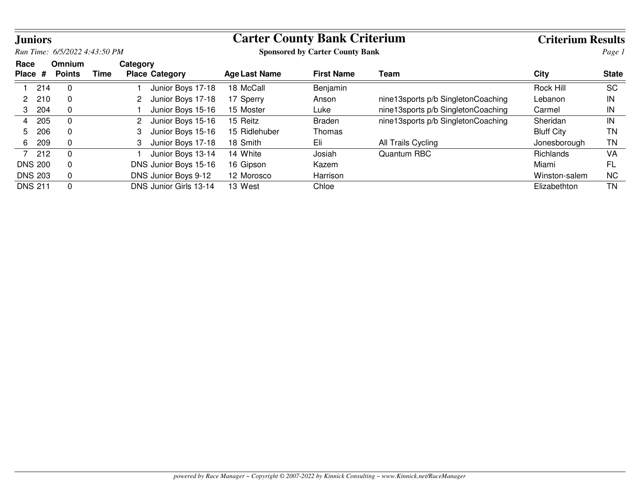| <b>Juniors</b>  |                |                                |      |          |                        |                      | <b>Carter County Bank Criterium</b>    |                                    | <b>Criterium Results</b> |              |
|-----------------|----------------|--------------------------------|------|----------|------------------------|----------------------|----------------------------------------|------------------------------------|--------------------------|--------------|
|                 |                | Run Time: 6/5/2022 4:43:50 PM  |      |          |                        |                      | <b>Sponsored by Carter County Bank</b> |                                    |                          | Page 1       |
| Race<br>Place # |                | <b>Omnium</b><br><b>Points</b> | Time | Category | <b>Place Category</b>  | <b>Age Last Name</b> | <b>First Name</b>                      | Team                               | City                     | <b>State</b> |
|                 | 214            | $\Omega$                       |      |          | Junior Boys 17-18      | 18 McCall            | Benjamin                               |                                    | Rock Hill                | <b>SC</b>    |
| 2               | 210            | $\mathbf 0$                    |      |          | Junior Boys 17-18      | 17 Sperry            | Anson                                  | nine13sports p/b SingletonCoaching | Lebanon                  | IN           |
| 3               | 204            | $\mathbf 0$                    |      |          | Junior Boys 15-16      | 15 Moster            | Luke                                   | nine13sports p/b SingletonCoaching | Carmel                   | IN           |
| 4               | 205            | $\mathbf 0$                    |      | 2        | Junior Boys 15-16      | 15 Reitz             | Braden                                 | nine13sports p/b SingletonCoaching | Sheridan                 | IN           |
| 5               | 206            | $\mathbf 0$                    |      | 3        | Junior Boys 15-16      | 15 Ridlehuber        | Thomas                                 |                                    | <b>Bluff City</b>        | <b>TN</b>    |
| 6               | 209            | $\Omega$                       |      | 3        | Junior Boys 17-18      | 18 Smith             | Eli                                    | All Trails Cycling                 | Jonesborough             | <b>TN</b>    |
|                 | 7 212          | $\Omega$                       |      |          | Junior Boys 13-14      | 14 White             | Josiah                                 | Quantum RBC                        | Richlands                | VA           |
|                 | <b>DNS 200</b> | $\mathbf 0$                    |      |          | DNS Junior Boys 15-16  | 16 Gipson            | Kazem                                  |                                    | Miami                    | <b>FL</b>    |
|                 | <b>DNS 203</b> | $\mathbf 0$                    |      |          | DNS Junior Boys 9-12   | 12 Morosco           | Harrison                               |                                    | Winston-salem            | <b>NC</b>    |
|                 | <b>DNS 211</b> | $\Omega$                       |      |          | DNS Junior Girls 13-14 | 13 West              | Chloe                                  |                                    | Elizabethton             | <b>TN</b>    |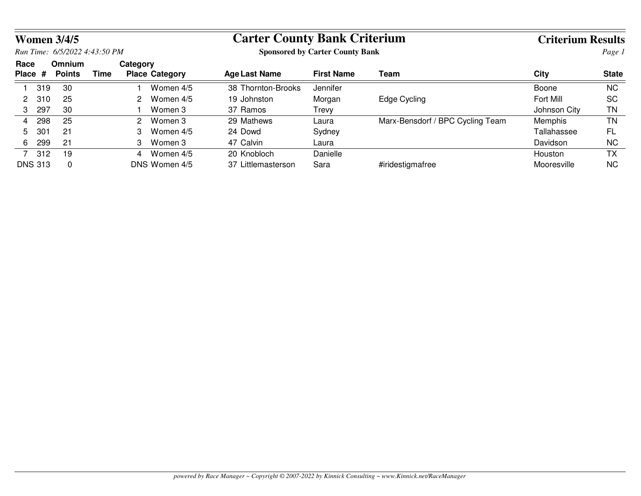| <b>Women 3/4/5</b> |                 |                               |      |          |                       |                                        | <b>Carter County Bank Criterium</b> |                                  |              |              |
|--------------------|-----------------|-------------------------------|------|----------|-----------------------|----------------------------------------|-------------------------------------|----------------------------------|--------------|--------------|
|                    |                 | Run Time: 6/5/2022 4:43:50 PM |      |          |                       | <b>Sponsored by Carter County Bank</b> |                                     |                                  | Page 1       |              |
| Race<br>Place #    |                 | Omnium<br><b>Points</b>       | Time | Category | <b>Place Category</b> | <b>Age Last Name</b>                   | <b>First Name</b>                   | Team                             | <b>City</b>  | <b>State</b> |
|                    | 319             | 30                            |      |          | Women 4/5             | 38 Thornton-Brooks                     | Jennifer                            |                                  | Boone        | NC.          |
| 2                  | 310             | 25                            |      | 2.       | Women 4/5             | 19 Johnston                            | Morgan                              | Edge Cycling                     | Fort Mill    | <b>SC</b>    |
| 3                  | 297             | 30                            |      |          | Women 3               | 37 Ramos                               | Trevy                               |                                  | Johnson City | ΤN           |
| 4                  | 298             | 25                            |      | 2        | Women 3               | 29 Mathews                             | Laura                               | Marx-Bensdorf / BPC Cycling Team | Memphis      | <b>TN</b>    |
| 5                  | 30 <sup>1</sup> | 21                            |      |          | Women 4/5             | 24 Dowd                                | Sydney                              |                                  | Tallahassee  | FL           |
| 6                  | 299             | 21                            |      | З        | Women 3               | 47 Calvin                              | Laura                               |                                  | Davidson     | NC.          |
|                    | 312             | 19                            |      | 4        | Women 4/5             | 20 Knobloch                            | Danielle                            |                                  | Houston      | ТX           |
| <b>DNS 313</b>     |                 | 0                             |      |          | DNS Women 4/5         | 37 Littlemasterson                     | Sara                                | #iridestigmafree                 | Mooresville  | NC.          |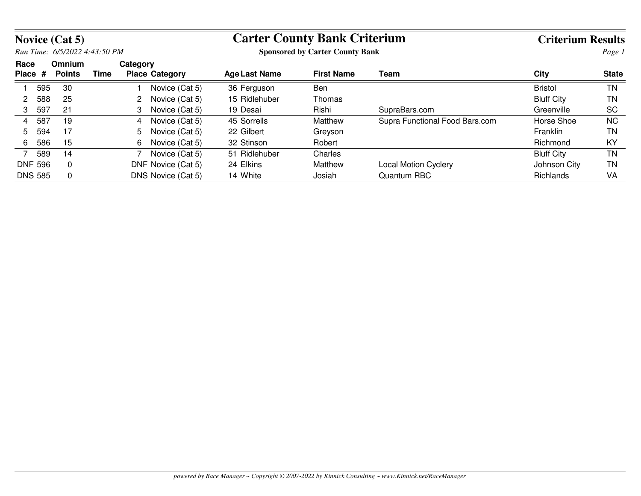|                 |                | <b>Novice (Cat 5)</b>         |      |          |                       |                                        | <b>Carter County Bank Criterium</b> |                                |                   |              |
|-----------------|----------------|-------------------------------|------|----------|-----------------------|----------------------------------------|-------------------------------------|--------------------------------|-------------------|--------------|
|                 |                | Run Time: 6/5/2022 4:43:50 PM |      |          |                       | <b>Sponsored by Carter County Bank</b> |                                     |                                | Page 1            |              |
| Race<br>Place # |                | Omnium<br><b>Points</b>       | Time | Category | <b>Place Category</b> | Age Last Name                          | <b>First Name</b>                   | Team                           | City              | <b>State</b> |
|                 | 595            | 30                            |      |          | Novice (Cat 5)        | 36 Ferguson                            | <b>Ben</b>                          |                                | <b>Bristol</b>    | <b>TN</b>    |
| 2               | 588            | 25                            |      |          | Novice (Cat 5)        | 15 Ridlehuber                          | Thomas                              |                                | <b>Bluff City</b> | ΤN           |
| 3               | 597            | 21                            |      |          | Novice (Cat 5)        | 19 Desai                               | Rishi                               | SupraBars.com                  | Greenville        | <b>SC</b>    |
| 4               | 587            | 19                            |      | 4        | Novice (Cat 5)        | 45 Sorrells                            | Matthew                             | Supra Functional Food Bars.com | Horse Shoe        | <b>NC</b>    |
| 5               | 594            | 17                            |      | 5.       | Novice (Cat 5)        | 22 Gilbert                             | Greyson                             |                                | Franklin          | TN           |
| 6               | 586            | 15                            |      | 6.       | Novice (Cat 5)        | 32 Stinson                             | Robert                              |                                | Richmond          | KY           |
| 7               | 589            | 14                            |      |          | Novice (Cat 5)        | 51 Ridlehuber                          | Charles                             |                                | <b>Bluff City</b> | <b>TN</b>    |
|                 | <b>DNF 596</b> | $\mathbf{0}$                  |      |          | DNF Novice (Cat 5)    | 24 Elkins                              | Matthew                             | <b>Local Motion Cyclery</b>    | Johnson City      | ΤN           |
|                 | <b>DNS 585</b> | $\mathbf 0$                   |      |          | DNS Novice (Cat 5)    | 14 White                               | Josiah                              | Quantum RBC                    | <b>Richlands</b>  | VA           |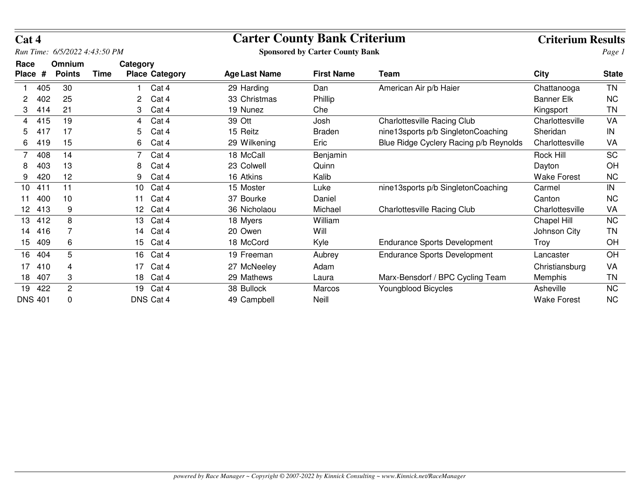| Cat 4           |     |                               |      |                 |                       | <b>Carter County Bank Criterium</b> |                                        | <b>Criterium Results</b>               |                    |              |
|-----------------|-----|-------------------------------|------|-----------------|-----------------------|-------------------------------------|----------------------------------------|----------------------------------------|--------------------|--------------|
|                 |     | Run Time: 6/5/2022 4:43:50 PM |      |                 |                       |                                     | <b>Sponsored by Carter County Bank</b> |                                        |                    | Page 1       |
| Race<br>Place # |     | Omnium<br><b>Points</b>       | Time | Category        | <b>Place Category</b> | <b>Age Last Name</b>                | <b>First Name</b>                      | Team                                   | <b>City</b>        | <b>State</b> |
|                 | 405 | 30                            |      |                 | Cat 4                 | 29 Harding                          | Dan                                    | American Air p/b Haier                 | Chattanooga        | <b>TN</b>    |
| 2               | 402 | 25                            |      | 2               | Cat 4                 | 33 Christmas                        | Phillip                                |                                        | <b>Banner Elk</b>  | <b>NC</b>    |
|                 | 414 | 21                            |      | 3               | Cat 4                 | 19 Nunez                            | Che                                    |                                        | Kingsport          | <b>TN</b>    |
| 4               | 415 | 19                            |      | 4               | Cat 4                 | 39 Ott                              | Josh                                   | <b>Charlottesville Racing Club</b>     | Charlottesville    | VA           |
| 5               | 417 | 17                            |      | 5               | Cat 4                 | 15 Reitz                            | <b>Braden</b>                          | nine13sports p/b SingletonCoaching     | Sheridan           | IN           |
| 6               | 419 | 15                            |      | 6               | Cat 4                 | 29 Wilkening                        | Eric                                   | Blue Ridge Cyclery Racing p/b Reynolds | Charlottesville    | VA           |
|                 | 408 | 14                            |      |                 | Cat 4                 | 18 McCall                           | Benjamin                               |                                        | <b>Rock Hill</b>   | <b>SC</b>    |
| 8               | 403 | 13                            |      | 8               | Cat 4                 | 23 Colwell                          | Quinn                                  |                                        | Dayton             | OH           |
| 9               | 420 | 12                            |      | 9               | Cat 4                 | 16 Atkins                           | Kalib                                  |                                        | <b>Wake Forest</b> | <b>NC</b>    |
| 10              | 411 | 11                            |      | 10              | Cat 4                 | 15 Moster                           | Luke                                   | nine13sports p/b SingletonCoaching     | Carmel             | IN           |
| 11              | 400 | 10                            |      | 11              | Cat 4                 | 37 Bourke                           | Daniel                                 |                                        | Canton             | <b>NC</b>    |
| 12              | 413 | 9                             |      | 12 <sup>2</sup> | Cat 4                 | 36 Nicholaou                        | Michael                                | <b>Charlottesville Racing Club</b>     | Charlottesville    | VA           |
| 13              | 412 | 8                             |      | 13              | Cat 4                 | 18 Myers                            | William                                |                                        | Chapel Hill        | <b>NC</b>    |
| 14              | 416 |                               |      | 14              | Cat 4                 | 20 Owen                             | Will                                   |                                        | Johnson City       | ΤN           |
| 15              | 409 | 6                             |      | 15              | Cat 4                 | 18 McCord                           | Kyle                                   | <b>Endurance Sports Development</b>    | Troy               | OH           |
| 16              | 404 | 5                             |      | 16              | Cat 4                 | 19 Freeman                          | Aubrey                                 | <b>Endurance Sports Development</b>    | Lancaster          | OH           |
| 17              | 410 | 4                             |      | 17              | Cat 4                 | 27 McNeeley                         | Adam                                   |                                        | Christiansburg     | VA           |
| 18              | 407 | 3                             |      | 18              | Cat 4                 | 29 Mathews                          | Laura                                  | Marx-Bensdorf / BPC Cycling Team       | Memphis            | ΤN           |
| 19              | 422 | $\overline{c}$                |      | 19              | Cat 4                 | 38 Bullock                          | Marcos                                 | <b>Youngblood Bicycles</b>             | Asheville          | <b>NC</b>    |
| <b>DNS 401</b>  |     | 0                             |      |                 | DNS Cat 4             | 49 Campbell                         | Neill                                  |                                        | <b>Wake Forest</b> | <b>NC</b>    |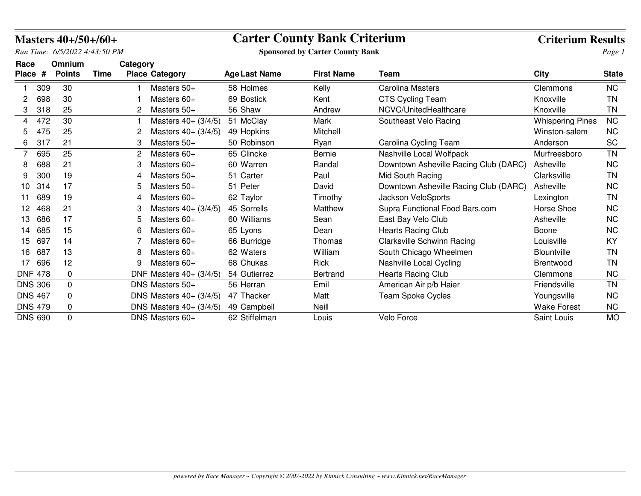|         |                | Masters $40+/50+/60+$         |             |          |                                              | <b>Carter County Bank Criterium</b> |                                        | <b>Criterium Results</b>              |                         |              |
|---------|----------------|-------------------------------|-------------|----------|----------------------------------------------|-------------------------------------|----------------------------------------|---------------------------------------|-------------------------|--------------|
|         |                | Run Time: 6/5/2022 4:43:50 PM |             |          |                                              |                                     | <b>Sponsored by Carter County Bank</b> |                                       |                         | Page 1       |
| Race    |                | Omnium                        |             | Category |                                              |                                     |                                        |                                       |                         |              |
| Place # |                | <b>Points</b>                 | <b>Time</b> |          | <b>Place Category</b>                        | <b>Age Last Name</b>                | <b>First Name</b>                      | Team                                  | <b>City</b>             | <b>State</b> |
|         | 309            | 30                            |             |          | Masters $50+$                                | 58 Holmes                           | Kelly                                  | <b>Carolina Masters</b>               | Clemmons                | <b>NC</b>    |
| 2       | 698            | 30                            |             |          | Masters 60+                                  | 69 Bostick                          | Kent                                   | <b>CTS Cycling Team</b>               | Knoxville               | TN           |
| 3       | 318            | 25                            |             | 2        | Masters 50+                                  | 56 Shaw                             | Andrew                                 | NCVC/UnitedHealthcare                 | Knoxville               | ΤN           |
| 4       | 472            | 30                            |             |          | Masters 40+ (3/4/5)                          | 51 McClay                           | <b>Mark</b>                            | Southeast Velo Racing                 | <b>Whispering Pines</b> | <b>NC</b>    |
| 5       | 475            | 25                            |             |          | Masters 40+ (3/4/5)                          | 49 Hopkins                          | Mitchell                               |                                       | Winston-salem           | NC.          |
| 6       | 317            | 21                            |             | 3        | Masters 50+                                  | 50 Robinson                         | Ryan                                   | Carolina Cycling Team                 | Anderson                | <b>SC</b>    |
|         | 695            | 25                            |             |          | Masters 60+                                  | 65 Clincke                          | Bernie                                 | Nashville Local Wolfpack              | Murfreesboro            | <b>TN</b>    |
| 8       | 688            | 21                            |             | 3        | Masters 60+                                  | 60 Warren                           | Randal                                 | Downtown Asheville Racing Club (DARC) | Asheville               | <b>NC</b>    |
| 9       | 300            | 19                            |             | 4        | Masters 50+                                  | 51 Carter                           | Paul                                   | Mid South Racing                      | Clarksville             | <b>TN</b>    |
| 10      | 314            | 17                            |             | 5        | Masters 50+                                  | 51 Peter                            | David                                  | Downtown Asheville Racing Club (DARC) | Asheville               | NC.          |
| 11      | 689            | 19                            |             | 4        | Masters 60+                                  | 62 Taylor                           | Timothy                                | Jackson VeloSports                    | Lexington               | ΤN           |
| 12      | 468            | 21                            |             |          | Masters $40 + (3/4/5)$                       | 45 Sorrells                         | Matthew                                | Supra Functional Food Bars.com        | Horse Shoe              | <b>NC</b>    |
| 13      | 686            | 17                            |             | 5        | Masters 60+                                  | 60 Williams                         | Sean                                   | East Bay Velo Club                    | Asheville               | <b>NC</b>    |
| 14      | 685            | 15                            |             | 6        | Masters 60+                                  | 65 Lyons                            | Dean                                   | <b>Hearts Racing Club</b>             | Boone                   | <b>NC</b>    |
| 15      | 697            | 14                            |             |          | Masters 60+                                  | 66 Burridge                         | Thomas                                 | Clarksville Schwinn Racing            | Louisville              | KY           |
| 16      | 687            | 13                            |             | 8        | Masters $60+$                                | 62 Waters                           | William                                | South Chicago Wheelmen                | <b>Blountville</b>      | <b>TN</b>    |
| 17      | 696            | 12                            |             | 9        | Masters 60+                                  | 68 Chukas                           | Rick                                   | Nashville Local Cycling               | <b>Brentwood</b>        | <b>TN</b>    |
|         | <b>DNF 478</b> | 0                             |             |          | DNF Masters $40+ (3/4/5)$                    | 54 Gutierrez                        | <b>Bertrand</b>                        | <b>Hearts Racing Club</b>             | Clemmons                | <b>NC</b>    |
|         | <b>DNS 306</b> | 0                             |             |          | DNS Masters 50+                              | 56 Herran                           | Emil                                   | American Air p/b Haier                | Friendsville            | <b>TN</b>    |
|         | <b>DNS 467</b> | 0                             |             |          | <b>DNS Masters <math>40 + (3/4/5)</math></b> | 47 Thacker                          | Matt                                   | <b>Team Spoke Cycles</b>              | Youngsville             | <b>NC</b>    |
|         | <b>DNS 479</b> | 0                             |             |          | <b>DNS Masters 40+ (3/4/5)</b>               | 49 Campbell                         | Neill                                  |                                       | <b>Wake Forest</b>      | <b>NC</b>    |
|         | <b>DNS 690</b> | $\Omega$                      |             |          | DNS Masters 60+                              | 62 Stiffelman                       | Louis                                  | Velo Force                            | Saint Louis             | <b>MO</b>    |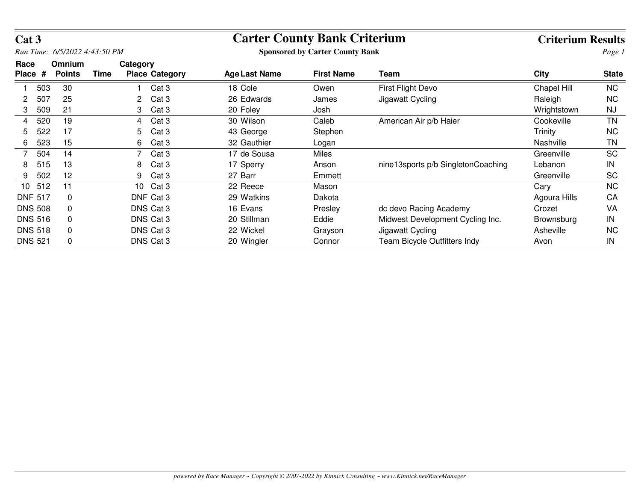| Cat 3                |     |                               |                  |                       |                                        | <b>Carter County Bank Criterium</b> |                                    | <b>Criterium Results</b> |              |  |
|----------------------|-----|-------------------------------|------------------|-----------------------|----------------------------------------|-------------------------------------|------------------------------------|--------------------------|--------------|--|
|                      |     | Run Time: 6/5/2022 4:43:50 PM |                  |                       | <b>Sponsored by Carter County Bank</b> |                                     | Page 1                             |                          |              |  |
| Race<br><b>Place</b> | #   | Omnium<br><b>Points</b>       | Category<br>Time | <b>Place Category</b> | <b>Age Last Name</b>                   | <b>First Name</b>                   | Team                               | <b>City</b>              | <b>State</b> |  |
|                      | 503 | 30                            |                  | Cat <sub>3</sub>      | 18 Cole                                | Owen                                | <b>First Flight Devo</b>           | Chapel Hill              | <b>NC</b>    |  |
| 2                    | 507 | 25                            | 2.               | Cat <sub>3</sub>      | 26 Edwards                             | James                               | Jigawatt Cycling                   | Raleigh                  | <b>NC</b>    |  |
| 3                    | 509 | 21                            | 3                | Cat <sub>3</sub>      | 20 Foley                               | Josh                                |                                    | Wrightstown              | <b>NJ</b>    |  |
| 4                    | 520 | 19                            | 4                | Cat <sub>3</sub>      | 30 Wilson                              | Caleb                               | American Air p/b Haier             | Cookeville               | <b>TN</b>    |  |
| 5                    | 522 | 17                            | 5                | Cat <sub>3</sub>      | 43 George                              | Stephen                             |                                    | Trinity                  | <b>NC</b>    |  |
| 6                    | 523 | 15                            | 6.               | Cat <sub>3</sub>      | 32 Gauthier                            | Logan                               |                                    | Nashville                | ΤN           |  |
|                      | 504 | 14                            |                  | Cat <sub>3</sub>      | 17 de Sousa                            | Miles                               |                                    | Greenville               | <b>SC</b>    |  |
| 8                    | 515 | 13                            | 8                | Cat <sub>3</sub>      | 17 Sperry                              | Anson                               | nine13sports p/b SingletonCoaching | Lebanon                  | IN           |  |
| 9                    | 502 | 12                            | 9                | Cat <sub>3</sub>      | 27 Barr                                | Emmett                              |                                    | Greenville               | <b>SC</b>    |  |
| 10                   | 512 | 11                            | 10               | Cat <sub>3</sub>      | 22 Reece                               | Mason                               |                                    | Cary                     | <b>NC</b>    |  |
| <b>DNF 517</b>       |     | 0                             |                  | DNF Cat 3             | 29 Watkins                             | Dakota                              |                                    | Agoura Hills             | CA           |  |
| <b>DNS 508</b>       |     | 0                             |                  | DNS Cat 3             | 16 Evans                               | Presley                             | dc devo Racing Academy             | Crozet                   | VA           |  |
| <b>DNS 516</b>       |     | $\mathbf{0}$                  |                  | DNS Cat 3             | 20 Stillman                            | Eddie                               | Midwest Development Cycling Inc.   | Brownsburg               | IN           |  |
| <b>DNS 518</b>       |     | 0                             |                  | DNS Cat 3             | 22 Wickel                              | Grayson                             | Jigawatt Cycling                   | Asheville                | <b>NC</b>    |  |
| <b>DNS 521</b>       |     | 0                             |                  | DNS Cat 3             | 20 Wingler                             | Connor                              | Team Bicycle Outfitters Indy       | Avon                     | IN           |  |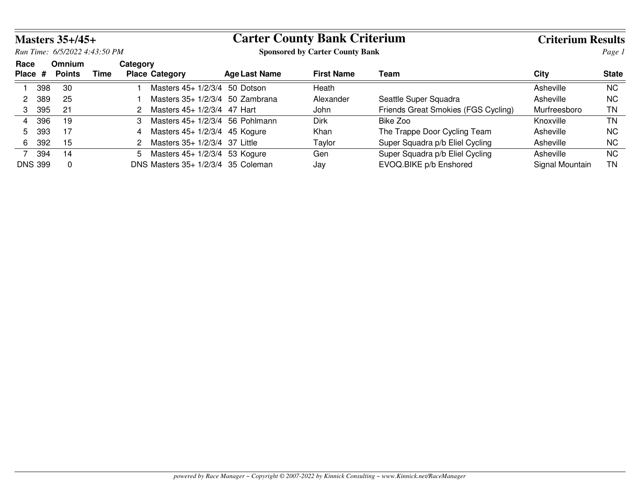|                               |     | <b>Masters 35+/45+</b>  |      |          |                                    | <b>Carter County Bank Criterium</b>    |                   | <b>Criterium Results</b>            |                 |              |
|-------------------------------|-----|-------------------------|------|----------|------------------------------------|----------------------------------------|-------------------|-------------------------------------|-----------------|--------------|
| Run Time: 6/5/2022 4:43:50 PM |     |                         |      |          |                                    | <b>Sponsored by Carter County Bank</b> |                   |                                     |                 |              |
| Race<br>Place #               |     | Omnium<br><b>Points</b> | Time | Category | <b>Place Category</b>              | Age Last Name                          | <b>First Name</b> | Team                                | City            | <b>State</b> |
|                               | 398 | -30                     |      |          | Masters 45+ 1/2/3/4 50 Dotson      |                                        | Heath             |                                     | Asheville       | NC.          |
| 2                             | 389 | 25                      |      |          | Masters $35+1/2/3/4$ 50 Zambrana   |                                        | Alexander         | Seattle Super Squadra               | Asheville       | NC.          |
| 3                             | 395 | 21                      |      |          | Masters 45+ 1/2/3/4 47 Hart        |                                        | John              | Friends Great Smokies (FGS Cycling) | Murfreesboro    | TN           |
| 4                             | 396 | -19                     |      | 3        | Masters $45+1/2/3/4$ 56 Pohlmann   |                                        | <b>Dirk</b>       | Bike Zoo                            | Knoxville       | TN           |
| 5                             | 393 | 17                      |      |          | Masters 45+ 1/2/3/4 45 Kogure      |                                        | Khan              | The Trappe Door Cycling Team        | Asheville       | NC.          |
| 6                             | 392 | -15                     |      |          | Masters 35+ 1/2/3/4 37 Little      |                                        | Taylor            | Super Squadra p/b Eliel Cycling     | Asheville       | NC.          |
|                               | 394 | 14                      |      | 5.       | Masters 45+ 1/2/3/4 53 Kogure      |                                        | Gen               | Super Squadra p/b Eliel Cycling     | Asheville       | NC.          |
| <b>DNS 399</b>                |     | $\Omega$                |      |          | DNS Masters 35+ 1/2/3/4 35 Coleman |                                        | Jay               | EVOQ.BIKE p/b Enshored              | Signal Mountain | ΤN           |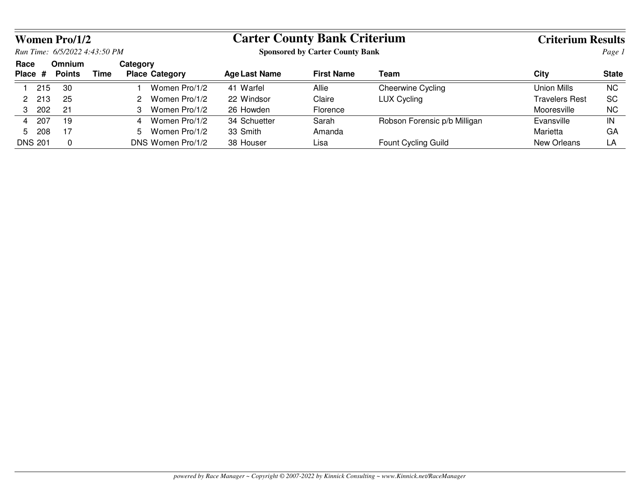|      |                | <b>Women Pro/1/2</b>          |      |                                   |                                        | <b>Carter County Bank Criterium</b> |                              |                |              |
|------|----------------|-------------------------------|------|-----------------------------------|----------------------------------------|-------------------------------------|------------------------------|----------------|--------------|
|      |                | Run Time: 6/5/2022 4:43:50 PM |      |                                   | <b>Sponsored by Carter County Bank</b> | Page 1                              |                              |                |              |
| Race | Place $#$      | <b>Omnium</b><br>Points       | Time | Category<br><b>Place Category</b> | <b>Age Last Name</b>                   | <b>First Name</b>                   | Team                         | City           | <b>State</b> |
|      | 215            | 30                            |      | Women Pro/1/2                     | 41 Warfel                              | Allie                               | Cheerwine Cycling            | Union Mills    | <b>NC</b>    |
|      | 213            | 25                            |      | Women Pro/1/2                     | 22 Windsor                             | Claire                              | <b>LUX Cycling</b>           | Travelers Rest | <b>SC</b>    |
| 3    | 202            | 21                            |      | Women Pro/1/2                     | 26 Howden                              | Florence                            |                              | Mooresville    | <b>NC</b>    |
| 4    | 207            | 19                            |      | Women Pro/1/2<br>4                | 34 Schuetter                           | Sarah                               | Robson Forensic p/b Milligan | Evansville     | IN           |
| .5   | 208            | 17                            |      | Women Pro/1/2<br>5.               | 33 Smith                               | Amanda                              |                              | Marietta       | GA           |
|      | <b>DNS 201</b> | 0                             |      | DNS Women Pro/1/2                 | 38 Houser                              | Lisa                                | Fount Cycling Guild          | New Orleans    | LA           |